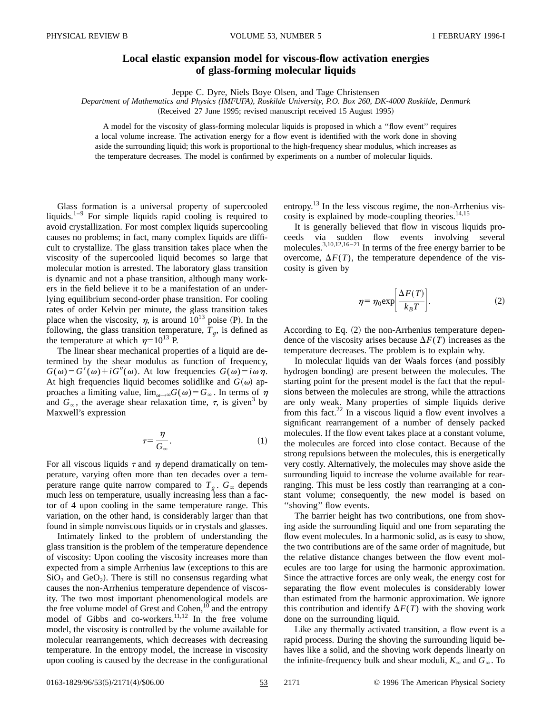## **Local elastic expansion model for viscous-flow activation energies of glass-forming molecular liquids**

Jeppe C. Dyre, Niels Boye Olsen, and Tage Christensen

*Department of Mathematics and Physics (IMFUFA), Roskilde University, P.O. Box 260, DK-4000 Roskilde, Denmark*

(Received 27 June 1995; revised manuscript received 15 August 1995)

A model for the viscosity of glass-forming molecular liquids is proposed in which a ''flow event'' requires a local volume increase. The activation energy for a flow event is identified with the work done in shoving aside the surrounding liquid; this work is proportional to the high-frequency shear modulus, which increases as the temperature decreases. The model is confirmed by experiments on a number of molecular liquids.

Glass formation is a universal property of supercooled liquids.<sup>1–9</sup> For simple liquids rapid cooling is required to avoid crystallization. For most complex liquids supercooling causes no problems; in fact, many complex liquids are difficult to crystallize. The glass transition takes place when the viscosity of the supercooled liquid becomes so large that molecular motion is arrested. The laboratory glass transition is dynamic and not a phase transition, although many workers in the field believe it to be a manifestation of an underlying equilibrium second-order phase transition. For cooling rates of order Kelvin per minute, the glass transition takes place when the viscosity,  $\eta$ , is around 10<sup>13</sup> poise (P). In the following, the glass transition temperature,  $T<sub>g</sub>$ , is defined as the temperature at which  $\eta=10^{13}$  P.

The linear shear mechanical properties of a liquid are determined by the shear modulus as function of frequency,  $G(\omega) = G'(\omega) + iG''(\omega)$ . At low frequencies  $G(\omega) = i\omega \eta$ . At high frequencies liquid becomes solidlike and  $G(\omega)$  approaches a limiting value,  $\lim_{\omega\to\infty} G(\omega) = G_{\infty}$ . In terms of  $\eta$ and  $G_{\infty}$ , the average shear relaxation time,  $\tau$ , is given<sup>3</sup> by Maxwell's expression

$$
\tau = \frac{\eta}{G_{\infty}}.\tag{1}
$$

For all viscous liquids  $\tau$  and  $\eta$  depend dramatically on temperature, varying often more than ten decades over a temperature range quite narrow compared to  $T_g$ .  $G_\infty$  depends much less on temperature, usually increasing less than a factor of 4 upon cooling in the same temperature range. This variation, on the other hand, is considerably larger than that found in simple nonviscous liquids or in crystals and glasses.

Intimately linked to the problem of understanding the glass transition is the problem of the temperature dependence of viscosity: Upon cooling the viscosity increases more than expected from a simple Arrhenius law (exceptions to this are  $SiO<sub>2</sub>$  and  $GeO<sub>2</sub>$ ). There is still no consensus regarding what causes the non-Arrhenius temperature dependence of viscosity. The two most important phenomenological models are the free volume model of Grest and Cohen, $10$  and the entropy model of Gibbs and co-workers. $11,12$  In the free volume model, the viscosity is controlled by the volume available for molecular rearrangements, which decreases with decreasing temperature. In the entropy model, the increase in viscosity upon cooling is caused by the decrease in the configurational entropy.<sup>13</sup> In the less viscous regime, the non-Arrhenius viscosity is explained by mode-coupling theories. $14,15$ 

It is generally believed that flow in viscous liquids proceeds via sudden flow events involving several molecules. $^{3,10,12,16-21}$  In terms of the free energy barrier to be overcome,  $\Delta F(T)$ , the temperature dependence of the viscosity is given by

$$
\eta = \eta_0 \exp\left[\frac{\Delta F(T)}{k_B T}\right].\tag{2}
$$

According to Eq.  $(2)$  the non-Arrhenius temperature dependence of the viscosity arises because  $\Delta F(T)$  increases as the temperature decreases. The problem is to explain why.

In molecular liquids van der Waals forces (and possibly hydrogen bonding) are present between the molecules. The starting point for the present model is the fact that the repulsions between the molecules are strong, while the attractions are only weak. Many properties of simple liquids derive from this fact.<sup>22</sup> In a viscous liquid a flow event involves a significant rearrangement of a number of densely packed molecules. If the flow event takes place at a constant volume, the molecules are forced into close contact. Because of the strong repulsions between the molecules, this is energetically very costly. Alternatively, the molecules may shove aside the surrounding liquid to increase the volume available for rearranging. This must be less costly than rearranging at a constant volume; consequently, the new model is based on ''shoving'' flow events.

The barrier height has two contributions, one from shoving aside the surrounding liquid and one from separating the flow event molecules. In a harmonic solid, as is easy to show, the two contributions are of the same order of magnitude, but the relative distance changes between the flow event molecules are too large for using the harmonic approximation. Since the attractive forces are only weak, the energy cost for separating the flow event molecules is considerably lower than estimated from the harmonic approximation. We ignore this contribution and identify  $\Delta F(T)$  with the shoving work done on the surrounding liquid.

Like any thermally activated transition, a flow event is a rapid process. During the shoving the surrounding liquid behaves like a solid, and the shoving work depends linearly on the infinite-frequency bulk and shear moduli,  $K_{\infty}$  and  $G_{\infty}$ . To

0163-1829/96/53(5)/2171(4)/\$06.00 53 2171 © 1996 The American Physical Society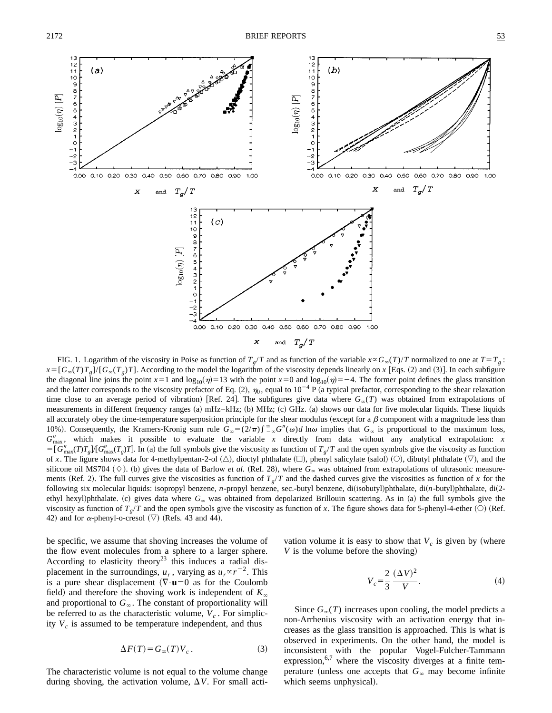13  $\frac{12}{11}$  $12$  $(b)$  $(a)$  $\mathbf{1}$  $1<sup>C</sup>$ 1C ۔<br>و  $\overline{Q}$  $\bar{a}$ 8  $\log_{10}(\eta)$  [P]  $log_{10}(\eta)$  [P] 654321  $-2$  $\overline{\phantom{a}}$ 0.10 0.20 0.30 0.40 0.50 0.60 0.70 0.80 0.90  $0.10$   $0.20$  $0.30$ 0.40 0.50 0.60 0.70 0.80 0.90  $0.00$  $1.00$  $0.00$ 1.00  $T_{\sigma}/T$ X and  $\boldsymbol{\mathsf{x}}$ and  $T_g/T$  $12$  $(c)$  $\ddot{\phantom{1}}$ 1C  $\log_{10}(\eta)$  [P]  $\frac{3}{2}$  $\mathbf C$ -2 -3 0.00 0.10 0.20 0.30 0.40 0.50 0.60 0.70 0.80 0.90 1.00 X  $T_q/T$  $_{\mathrm{and}}$ 

FIG. 1. Logarithm of the viscosity in Poise as function of  $T_g/T$  and as function of the variable  $x \propto G_\infty(T)/T$  normalized to one at  $T = T_g$ :  $x = [G_{\infty}(T)T_{\infty}] / [G_{\infty}(T_{\infty})T]$ . According to the model the logarithm of the viscosity depends linearly on *x* [Eqs. (2) and (3)]. In each subfigure the diagonal line joins the point  $x=1$  and log<sub>10</sub>( $\eta$ )=13 with the point  $x=0$  and log<sub>10</sub>( $\eta$ )=-4. The former point defines the glass transition and the latter corresponds to the viscosity prefactor of Eq. (2),  $\eta_0$ , equal to 10<sup>-4</sup> P (a typical prefactor, corresponding to the shear relaxation time close to an average period of vibration) [Ref. 24]. The subfigures give data where  $G_{\infty}(T)$  was obtained from extrapolations of measurements in different frequency ranges (a) mHz–kHz; (b) MHz; (c) GHz. (a) shows our data for five molecular liquids. These liquids all accurately obey the time-temperature superposition principle for the shear modulus (except for a  $\beta$  component with a magnitude less than 10%). Consequently, the Kramers-Kronig sum rule  $G_{\infty} = (2/\pi) \int_{-\infty}^{\infty} G''(\omega) d \ln \omega$  implies that  $G_{\infty}$  is proportional to the maximum loss,  $G''_{\text{max}}$ , which makes it possible to evaluate the variable *x* directly from data without any analytical extrapolation: *x*  $=\left[G_{\text{max}}^{\prime}(T)T_{g}\right]T_{g}T_{g}T$ . In (a) the full symbols give the viscosity as function of  $T_{g}/T$  and the open symbols give the viscosity as function of x. The figure shows data for 4-methylpentan-2-ol  $(\triangle)$ , dioctyl phthalate  $(\square)$ , phenyl salicylate (salol)  $(\bigcirc)$ , dibutyl phthalate  $(\nabla)$ , and the silicone oil MS704 ( $\Diamond$ ). (b) gives the data of Barlow *et al.* (Ref. 28), where  $G_{\infty}$  was obtained from extrapolations of ultrasonic measurements (Ref. 2). The full curves give the viscosities as function of  $T_g/T$  and the dashed curves give the viscosities as function of *x* for the following six molecular liquids: isopropyl benzene, *n*-propyl benzene, sec.-butyl benzene, di(isobutyl)phthalate, di(*n*-butyl)phthalate, di(2ethyl hexyl)phthalate. (c) gives data where  $G_{\infty}$  was obtained from depolarized Brillouin scattering. As in (a) the full symbols give the viscosity as function of  $T_g/T$  and the open symbols give the viscosity as function of *x*. The figure shows data for 5-phenyl-4-ether (O) (Ref. 42) and for  $\alpha$ -phenyl-o-cresol ( $\nabla$ ) (Refs. 43 and 44).

be specific, we assume that shoving increases the volume of the flow event molecules from a sphere to a larger sphere. According to elasticity theory<sup>23</sup> this induces a radial displacement in the surroundings,  $u_r$ , varying as  $u_r \propto r^{-2}$ . This is a pure shear displacement  $(\nabla \cdot \mathbf{u}) = 0$  as for the Coulomb field) and therefore the shoving work is independent of  $K_\infty$ and proportional to  $G_{\infty}$ . The constant of proportionality will be referred to as the characteristic volume,  $V_c$ . For simplicity  $V_c$  is assumed to be temperature independent, and thus

$$
\Delta F(T) = G_{\infty}(T) V_c \,. \tag{3}
$$

The characteristic volume is not equal to the volume change during shoving, the activation volume,  $\Delta V$ . For small activation volume it is easy to show that  $V_c$  is given by (where *V* is the volume before the shoving)

$$
V_c = \frac{2}{3} \frac{(\Delta V)^2}{V}.
$$
 (4)

Since  $G_{\infty}(T)$  increases upon cooling, the model predicts a non-Arrhenius viscosity with an activation energy that increases as the glass transition is approached. This is what is observed in experiments. On the other hand, the model is inconsistent with the popular Vogel-Fulcher-Tammann expression,  $6.7$  where the viscosity diverges at a finite temperature (unless one accepts that  $G_\infty$  may become infinite which seems unphysical).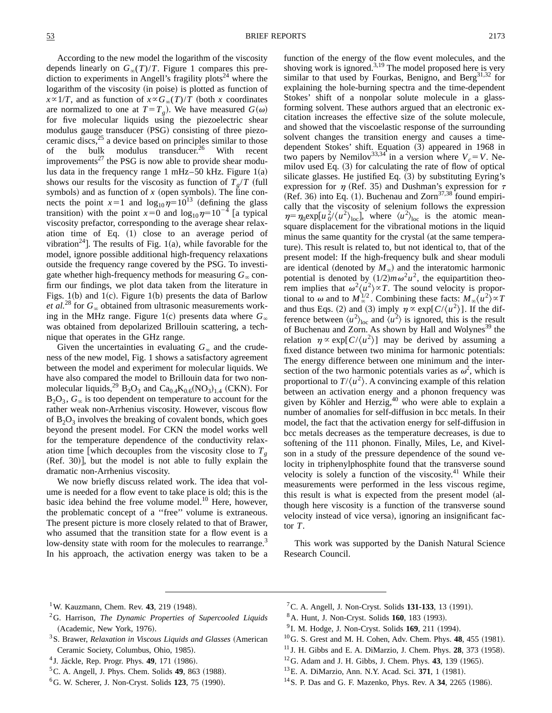According to the new model the logarithm of the viscosity depends linearly on  $G_{\infty}(T)/T$ . Figure 1 compares this prediction to experiments in Angell's fragility plots<sup>24</sup> where the logarithm of the viscosity (in poise) is plotted as function of  $x \propto 1/T$ , and as function of  $x \propto G_{\infty}(T)/T$  (both *x* coordinates are normalized to one at  $T=T_g$ ). We have measured  $G(\omega)$ for five molecular liquids using the piezoelectric shear modulus gauge transducer (PSG) consisting of three piezoceramic discs, $^{25}$  a device based on principles similar to those of the bulk modulus transducer.<sup>26</sup> With recent improvements<sup>27</sup> the PSG is now able to provide shear modulus data in the frequency range 1 mHz–50 kHz. Figure  $1(a)$ shows our results for the viscosity as function of  $T_a/T$  (full symbols) and as function of  $x$  (open symbols). The line connects the point  $x=1$  and  $\log_{10} \eta = 10^{13}$  (defining the glass transition) with the point  $x=0$  and  $\log_{10} \eta = 10^{-4}$  [a typical viscosity prefactor, corresponding to the average shear relaxation time of Eq.  $(1)$  close to an average period of vibration<sup>24</sup>. The results of Fig. 1(a), while favorable for the model, ignore possible additional high-frequency relaxations outside the frequency range covered by the PSG. To investigate whether high-frequency methods for measuring  $G_{\infty}$  confirm our findings, we plot data taken from the literature in Figs. 1(b) and 1(c). Figure 1(b) presents the data of Barlow *et al.*<sup>28</sup> for  $G_{\infty}$  obtained from ultrasonic measurements working in the MHz range. Figure 1(c) presents data where  $G_{\infty}$ was obtained from depolarized Brillouin scattering, a technique that operates in the GHz range.

Given the uncertainties in evaluating  $G_\infty$  and the crudeness of the new model, Fig. 1 shows a satisfactory agreement between the model and experiment for molecular liquids. We have also compared the model to Brillouin data for two nonmolecular liquids,<sup>29</sup> B<sub>2</sub>O<sub>3</sub> and Ca<sub>0.4</sub>K<sub>0.6</sub>(NO<sub>3</sub>)<sub>1.4</sub> (CKN). For  $B_2O_3$ ,  $G_\infty$  is too dependent on temperature to account for the rather weak non-Arrhenius viscosity. However, viscous flow of  $B_2O_3$  involves the breaking of covalent bonds, which goes beyond the present model. For CKN the model works well for the temperature dependence of the conductivity relaxation time [which decouples from the viscosity close to  $T<sub>g</sub>$  $(Ref. 30)$ , but the model is not able to fully explain the dramatic non-Arrhenius viscosity.

We now briefly discuss related work. The idea that volume is needed for a flow event to take place is old; this is the basic idea behind the free volume model.<sup>10</sup> Here, however, the problematic concept of a ''free'' volume is extraneous. The present picture is more closely related to that of Brawer, who assumed that the transition state for a flow event is a low-density state with room for the molecules to rearrange.<sup>3</sup> In his approach, the activation energy was taken to be a function of the energy of the flow event molecules, and the shoving work is ignored. $3,19$  The model proposed here is very similar to that used by Fourkas, Benigno, and Berg $^{31,32}$  for explaining the hole-burning spectra and the time-dependent Stokes' shift of a nonpolar solute molecule in a glassforming solvent. These authors argued that an electronic excitation increases the effective size of the solute molecule, and showed that the viscoelastic response of the surrounding solvent changes the transition energy and causes a timedependent Stokes' shift. Equation (3) appeared in 1968 in two papers by Nemilov<sup>33,34</sup> in a version where  $V_c = V$ . Nemilov used Eq.  $(3)$  for calculating the rate of flow of optical silicate glasses. He justified Eq.  $(3)$  by substituting Eyring's expression for  $\eta$  (Ref. 35) and Dushman's expression for  $\tau$ (Ref. 36) into Eq. (1). Buchenau and Zorn $37,38$  found empirically that the viscosity of selenium follows the expression  $\eta = \eta_0 \exp[u_0^2 / \langle u^2 \rangle_{\text{loc}}]$ , where  $\langle u^2 \rangle_{\text{loc}}$  is the atomic meansquare displacement for the vibrational motions in the liquid minus the same quantity for the crystal (at the same temperature). This result is related to, but not identical to, that of the present model: If the high-frequency bulk and shear moduli are identical (denoted by  $M_{\infty}$ ) and the interatomic harmonic potential is denoted by  $(1/2)m\omega^2u^2$ , the equipartition theorem implies that  $\omega^2 \langle u^2 \rangle \propto T$ . The sound velocity is proportional to  $\omega$  and to  $M_{\infty}^{1/2}$ . Combining these facts:  $M_{\infty}(u^2) \propto T$ and thus Eqs. (2) and (3) imply  $\eta \propto \exp[ C / \langle u^2 \rangle ]$ . If the difference between  $\langle u^2 \rangle$ <sub>loc</sub> and  $\langle u^2 \rangle$  is ignored, this is the result of Buchenau and Zorn. As shown by Hall and Wolynes<sup>39</sup> the relation  $\eta \propto \exp[ C / \langle u^2 \rangle ]$  may be derived by assuming a fixed distance between two minima for harmonic potentials: The energy difference between one minimum and the intersection of the two harmonic potentials varies as  $\omega^2$ , which is proportional to  $T/(u^2)$ . A convincing example of this relation between an activation energy and a phonon frequency was given by Köhler and Herzig, $40$  who were able to explain a number of anomalies for self-diffusion in bcc metals. In their model, the fact that the activation energy for self-diffusion in bcc metals decreases as the temperature decreases, is due to softening of the 111 phonon. Finally, Miles, Le, and Kivelson in a study of the pressure dependence of the sound velocity in triphenylphosphite found that the transverse sound velocity is solely a function of the viscosity. $41$  While their measurements were performed in the less viscous regime, this result is what is expected from the present model (although here viscosity is a function of the transverse sound velocity instead of vice versa), ignoring an insignificant factor *T*.

This work was supported by the Danish Natural Science Research Council.

- <sup>1</sup>W. Kauzmann, Chem. Rev. **43**, 219  $(1948)$ .
- 2G. Harrison, *The Dynamic Properties of Supercooled Liquids* (Academic, New York, 1976).
- <sup>3</sup> S. Brawer, *Relaxation in Viscous Liquids and Glasses* (American Ceramic Society, Columbus, Ohio, 1985).
- <sup>4</sup> J. Jäckle, Rep. Progr. Phys. **49**, 171 (1986).
- ${}^5C$ . A. Angell, J. Phys. Chem. Solids **49**, 863 (1988).
- <sup>6</sup>G. W. Scherer, J. Non-Cryst. Solids **123**, 75 (1990).
- <sup>7</sup> C. A. Angell, J. Non-Cryst. Solids **131-133**, 13 (1991).
- <sup>8</sup> A. Hunt, J. Non-Cryst. Solids **160**, 183 (1993).
- <sup>9</sup> I. M. Hodge, J. Non-Cryst. Solids **169**, 211 (1994).
- $^{10}$ G. S. Grest and M. H. Cohen, Adv. Chem. Phys. **48**, 455 (1981).
- $11$  J. H. Gibbs and E. A. DiMarzio, J. Chem. Phys. **28**, 373 (1958).
- $12$  G. Adam and J. H. Gibbs, J. Chem. Phys. **43**, 139 (1965).
- <sup>13</sup>E. A. DiMarzio, Ann. N.Y. Acad. Sci. **371**, 1 (1981).
- $14$ S. P. Das and G. F. Mazenko, Phys. Rev. A 34, 2265 (1986).